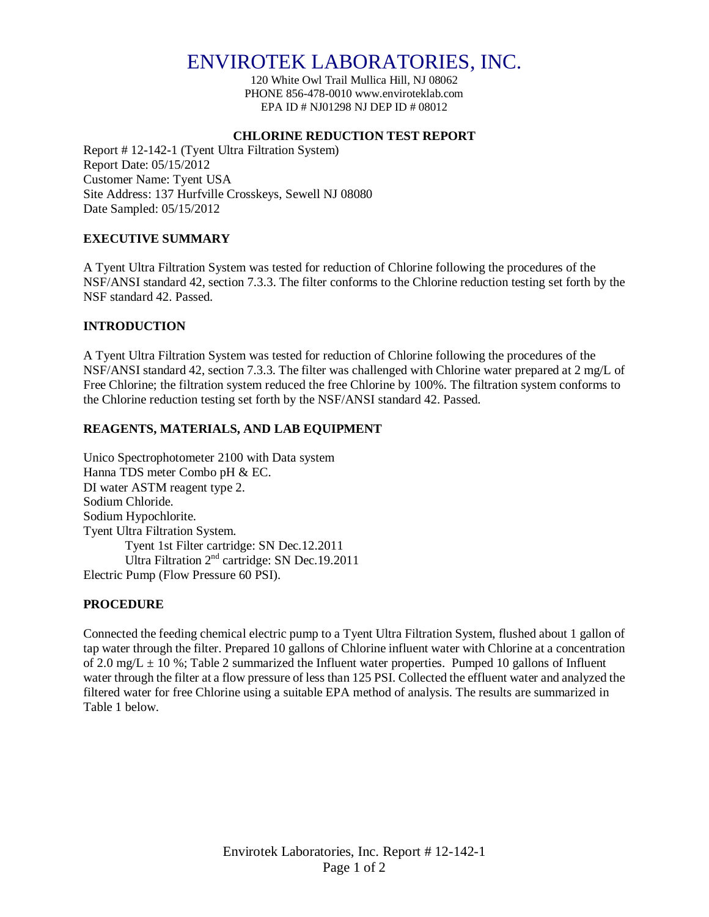# ENVIROTEK LABORATORIES, INC.

120 White Owl Trail Mullica Hill, NJ 08062 PHONE 856-478-0010 www.enviroteklab.com EPA ID # NJ01298 NJ DEP ID # 08012

## **CHLORINE REDUCTION TEST REPORT**

Report # 12-142-1 (Tyent Ultra Filtration System) Report Date: 05/15/2012 Customer Name: Tyent USA Site Address: 137 Hurfville Crosskeys, Sewell NJ 08080 Date Sampled: 05/15/2012

## **EXECUTIVE SUMMARY**

A Tyent Ultra Filtration System was tested for reduction of Chlorine following the procedures of the NSF/ANSI standard 42, section 7.3.3. The filter conforms to the Chlorine reduction testing set forth by the NSF standard 42. Passed.

## **INTRODUCTION**

A Tyent Ultra Filtration System was tested for reduction of Chlorine following the procedures of the NSF/ANSI standard 42, section 7.3.3. The filter was challenged with Chlorine water prepared at 2 mg/L of Free Chlorine; the filtration system reduced the free Chlorine by 100%. The filtration system conforms to the Chlorine reduction testing set forth by the NSF/ANSI standard 42. Passed.

## **REAGENTS, MATERIALS, AND LAB EQUIPMENT**

Unico Spectrophotometer 2100 with Data system Hanna TDS meter Combo pH & EC. DI water ASTM reagent type 2. Sodium Chloride. Sodium Hypochlorite. Tyent Ultra Filtration System. Tyent 1st Filter cartridge: SN Dec.12.2011 Ultra Filtration 2<sup>nd</sup> cartridge: SN Dec.19.2011 Electric Pump (Flow Pressure 60 PSI).

## **PROCEDURE**

Connected the feeding chemical electric pump to a Tyent Ultra Filtration System, flushed about 1 gallon of tap water through the filter. Prepared 10 gallons of Chlorine influent water with Chlorine at a concentration of 2.0 mg/L  $\pm$  10 %; Table 2 summarized the Influent water properties. Pumped 10 gallons of Influent water through the filter at a flow pressure of less than 125 PSI. Collected the effluent water and analyzed the filtered water for free Chlorine using a suitable EPA method of analysis. The results are summarized in Table 1 below.